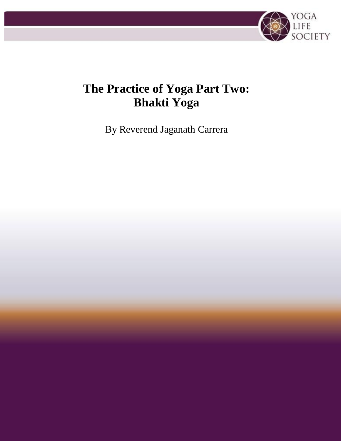

# **The Practice of Yoga Part Two: Bhakti Yoga**

By Reverend Jaganath Carrera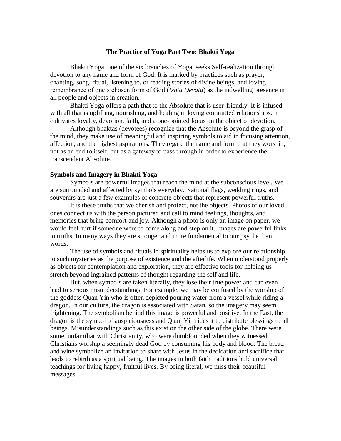## **The Practice of Yoga Part Two: Bhakti Yoga**

Bhakti Yoga, one of the six branches of Yoga, seeks Self-realization through devotion to any name and form of God. It is marked by practices such as prayer, chanting, song, ritual, listening to, or reading stories of divine beings, and loving remembrance of one's chosen form of God (*Ishta Devata*) as the indwelling presence in all people and objects in creation.

Bhakti Yoga offers a path that to the Absolute that is user-friendly. It is infused with all that is uplifting, nourishing, and healing in loving committed relationships. It cultivates loyalty, devotion, faith, and a one-pointed focus on the object of devotion.

Although bhaktas (devotees) recognize that the Absolute is beyond the grasp of the mind, they make use of meaningful and inspiring symbols to aid in focusing attention, affection, and the highest aspirations. They regard the name and form that they worship, not as an end to itself, but as a gateway to pass through in order to experience the transcendent Absolute.

## **Symbols and Imagery in Bhakti Yoga**

Symbols are powerful images that reach the mind at the subconscious level. We are surrounded and affected by symbols everyday. National flags, wedding rings, and souvenirs are just a few examples of concrete objects that represent powerful truths.

It is these truths that we cherish and protect, not the objects. Photos of our loved ones connect us with the person pictured and call to mind feelings, thoughts, and memories that bring comfort and joy. Although a photo is only an image on paper, we would feel hurt if someone were to come along and step on it. Images are powerful links to truths. In many ways they are stronger and more fundamental to our psyche than words.

The use of symbols and rituals in spirituality helps us to explore our relationship to such mysteries as the purpose of existence and the afterlife. When understood properly as objects for contemplation and exploration, they are effective tools for helping us stretch beyond ingrained patterns of thought regarding the self and life.

But, when symbols are taken literally, they lose their true power and can even lead to serious misunderstandings. For example, we may be confused by the worship of the goddess Quan Yin who is often depicted pouring water from a vessel while riding a dragon. In our culture, the dragon is associated with Satan, so the imagery may seem frightening. The symbolism behind this image is powerful and positive. In the East, the dragon is the symbol of auspiciousness and Quan Yin rides it to distribute blessings to all beings. Misunderstandings such as this exist on the other side of the globe. There were some, unfamiliar with Christianity, who were dumbfounded when they witnessed Christians worship a seemingly dead God by consuming his body and blood. The bread and wine symbolize an invitation to share with Jesus in the dedication and sacrifice that leads to rebirth as a spiritual being. The images in both faith traditions hold universal teachings for living happy, fruitful lives. By being literal, we miss their beautiful messages.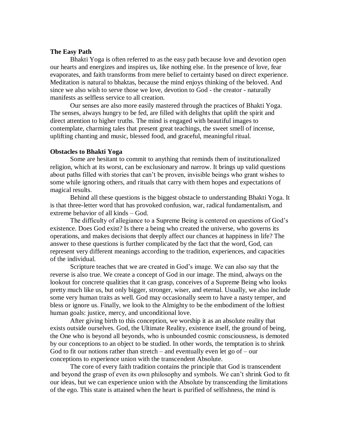## **The Easy Path**

Bhakti Yoga is often referred to as the easy path because love and devotion open our hearts and energizes and inspires us, like nothing else. In the presence of love, fear evaporates, and faith transforms from mere belief to certainty based on direct experience. Meditation is natural to bhaktas, because the mind enjoys thinking of the beloved. And since we also wish to serve those we love, devotion to God - the creator - naturally manifests as selfless service to all creation.

Our senses are also more easily mastered through the practices of Bhakti Yoga. The senses, always hungry to be fed, are filled with delights that uplift the spirit and direct attention to higher truths. The mind is engaged with beautiful images to contemplate, charming tales that present great teachings, the sweet smell of incense, uplifting chanting and music, blessed food, and graceful, meaningful ritual.

## **Obstacles to Bhakti Yoga**

Some are hesitant to commit to anything that reminds them of institutionalized religion, which at its worst, can be exclusionary and narrow. It brings up valid questions about paths filled with stories that can't be proven, invisible beings who grant wishes to some while ignoring others, and rituals that carry with them hopes and expectations of magical results.

Behind all these questions is the biggest obstacle to understanding Bhakti Yoga. It is that three-letter word that has provoked confusion, war, radical fundamentalism, and extreme behavior of all kinds – God.

The difficulty of allegiance to a Supreme Being is centered on questions of God's existence. Does God exist? Is there a being who created the universe, who governs its operations, and makes decisions that deeply affect our chances at happiness in life? The answer to these questions is further complicated by the fact that the word, God, can represent very different meanings according to the tradition, experiences, and capacities of the individual.

Scripture teaches that we are created in God's image. We can also say that the reverse is also true. We create a concept of God in our image. The mind, always on the lookout for concrete qualities that it can grasp, conceives of a Supreme Being who looks pretty much like us, but only bigger, stronger, wiser, and eternal. Usually, we also include some very human traits as well. God may occasionally seem to have a nasty temper, and bless or ignore us. Finally, we look to the Almighty to be the embodiment of the loftiest human goals: justice, mercy, and unconditional love.

After giving birth to this conception, we worship it as an absolute reality that exists outside ourselves. God, the Ultimate Reality, existence itself, the ground of being, the One who is beyond all beyonds, who is unbounded cosmic consciousness, is demoted by our conceptions to an object to be studied. In other words, the temptation is to shrink God to fit our notions rather than stretch – and eventually even let go of – our conceptions to experience union with the transcendent Absolute.

The core of every faith tradition contains the principle that God is transcendent and beyond the grasp of even its own philosophy and symbols. We can't shrink God to fit our ideas, but we can experience union with the Absolute by transcending the limitations of the ego. This state is attained when the heart is purified of selfishness, the mind is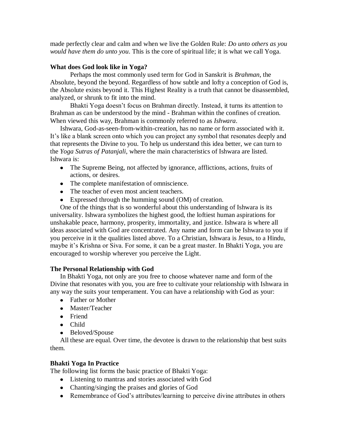made perfectly clear and calm and when we live the Golden Rule: *Do unto others as you would have them do unto you*. This is the core of spiritual life; it is what we call Yoga.

## **What does God look like in Yoga?**

Perhaps the most commonly used term for God in Sanskrit is *Brahman*, the Absolute, beyond the beyond. Regardless of how subtle and lofty a conception of God is, the Absolute exists beyond it. This Highest Reality is a truth that cannot be disassembled, analyzed, or shrunk to fit into the mind.

Bhakti Yoga doesn't focus on Brahman directly. Instead, it turns its attention to Brahman as can be understood by the mind - Brahman within the confines of creation. When viewed this way, Brahman is commonly referred to as *Ishwara*.

Ishwara, God-as-seen-from-within-creation, has no name or form associated with it. It's like a blank screen onto which you can project any symbol that resonates deeply and that represents the Divine to you. To help us understand this idea better, we can turn to the *Yoga Sutras of Patanjali*, where the main characteristics of Ishwara are listed. Ishwara is:

- The Supreme Being, not affected by ignorance, afflictions, actions, fruits of actions, or desires.
- The complete manifestation of omniscience.
- The teacher of even most ancient teachers.
- Expressed through the humming sound (OM) of creation.

One of the things that is so wonderful about this understanding of Ishwara is its universality. Ishwara symbolizes the highest good, the loftiest human aspirations for unshakable peace, harmony, prosperity, immortality, and justice. Ishwara is where all ideas associated with God are concentrated. Any name and form can be Ishwara to you if you perceive in it the qualities listed above. To a Christian, Ishwara is Jesus, to a Hindu, maybe it's Krishna or Siva. For some, it can be a great master. In Bhakti Yoga, you are encouraged to worship wherever you perceive the Light.

## **The Personal Relationship with God**

In Bhakti Yoga, not only are you free to choose whatever name and form of the Divine that resonates with you, you are free to cultivate your relationship with Ishwara in any way the suits your temperament. You can have a relationship with God as your:

- Father or Mother
- Master/Teacher
- Friend
- Child
- Beloved/Spouse

All these are equal. Over time, the devotee is drawn to the relationship that best suits them.

## **Bhakti Yoga In Practice**

The following list forms the basic practice of Bhakti Yoga:

- Listening to mantras and stories associated with God
- Chanting/singing the praises and glories of God
- Remembrance of God's attributes/learning to perceive divine attributes in others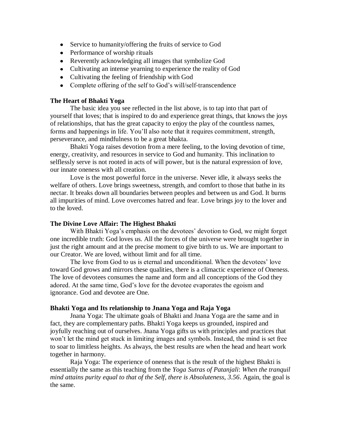- Service to humanity/offering the fruits of service to God
- Performance of worship rituals
- Reverently acknowledging all images that symbolize God
- Cultivating an intense yearning to experience the reality of God
- Cultivating the feeling of friendship with God
- Complete offering of the self to God's will/self-transcendence

## **The Heart of Bhakti Yoga**

The basic idea you see reflected in the list above, is to tap into that part of yourself that loves; that is inspired to do and experience great things, that knows the joys of relationships, that has the great capacity to enjoy the play of the countless names, forms and happenings in life. You'll also note that it requires commitment, strength, perseverance, and mindfulness to be a great bhakta.

Bhakti Yoga raises devotion from a mere feeling, to the loving devotion of time, energy, creativity, and resources in service to God and humanity. This inclination to selflessly serve is not rooted in acts of will power, but is the natural expression of love, our innate oneness with all creation.

Love is the most powerful force in the universe. Never idle, it always seeks the welfare of others. Love brings sweetness, strength, and comfort to those that bathe in its nectar. It breaks down all boundaries between peoples and between us and God. It burns all impurities of mind. Love overcomes hatred and fear. Love brings joy to the lover and to the loved.

## **The Divine Love Affair: The Highest Bhakti**

With Bhakti Yoga's emphasis on the devotees' devotion to God, we might forget one incredible truth: God loves us. All the forces of the universe were brought together in just the right amount and at the precise moment to give birth to us. We are important to our Creator. We are loved, without limit and for all time.

The love from God to us is eternal and unconditional. When the devotees' love toward God grows and mirrors these qualities, there is a climactic experience of Oneness. The love of devotees consumes the name and form and all conceptions of the God they adored. At the same time, God's love for the devotee evaporates the egoism and ignorance. God and devotee are One.

#### **Bhakti Yoga and Its relationship to Jnana Yoga and Raja Yoga**

Jnana Yoga: The ultimate goals of Bhakti and Jnana Yoga are the same and in fact, they are complementary paths. Bhakti Yoga keeps us grounded, inspired and joyfully reaching out of ourselves. Jnana Yoga gifts us with principles and practices that won't let the mind get stuck in limiting images and symbols. Instead, the mind is set free to soar to limitless heights. As always, the best results are when the head and heart work together in harmony.

Raja Yoga: The experience of oneness that is the result of the highest Bhakti is essentially the same as this teaching from the *Yoga Sutras of Patanjali*: *When the tranquil mind attains purity equal to that of the Self, there is Absoluteness, 3.56*. Again, the goal is the same.